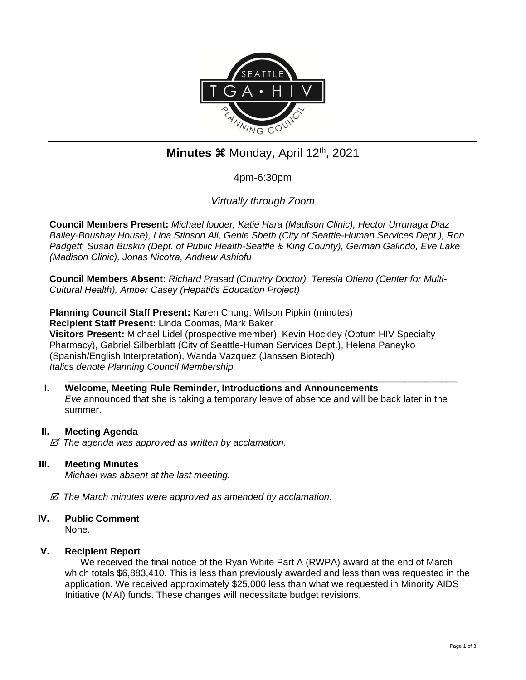

# **Minutes**  $\mathcal{H}$  **Monday, April 12<sup>th</sup>, 2021**

4pm-6:30pm

*Virtually through Zoom*

**Council Members Present:** *Michael louder, Katie Hara (Madison Clinic), Hector Urrunaga Diaz Bailey-Boushay House), Lina Stinson Ali, Genie Sheth (City of Seattle-Human Services Dept.), Ron Padgett, Susan Buskin (Dept. of Public Health-Seattle & King County), German Galindo, Eve Lake (Madison Clinic), Jonas Nicotra, Andrew Ashiofu*

**Council Members Absent:** *Richard Prasad (Country Doctor), Teresia Otieno (Center for Multi-Cultural Health), Amber Casey (Hepatitis Education Project)*

**Planning Council Staff Present:** Karen Chung, Wilson Pipkin (minutes) **Recipient Staff Present:** Linda Coomas, Mark Baker **Visitors Present:** Michael Lidel (prospective member), Kevin Hockley (Optum HIV Specialty Pharmacy), Gabriel Silberblatt (City of Seattle-Human Services Dept.), Helena Paneyko (Spanish/English Interpretation), Wanda Vazquez (Janssen Biotech) *Italics denote Planning Council Membership.* 

\_\_\_\_\_\_\_\_\_\_\_\_\_\_\_\_\_\_\_\_\_\_\_\_\_\_\_\_\_\_\_\_\_\_\_\_\_\_\_\_\_\_\_\_\_\_\_\_\_\_\_\_\_\_\_\_\_\_\_\_\_\_\_\_\_\_\_\_\_\_\_\_\_\_ **I. Welcome, Meeting Rule Reminder, Introductions and Announcements** *Eve* announced that she is taking a temporary leave of absence and will be back later in the summer.

## **II. Meeting Agenda**

 *The agenda was approved as written by acclamation.*

## **III. Meeting Minutes**

*Michael was absent at the last meeting.*

 *The March minutes were approved as amended by acclamation.*

# **IV. Public Comment**

None.

## **V. Recipient Report**

We received the final notice of the Ryan White Part A (RWPA) award at the end of March which totals \$6,883,410. This is less than previously awarded and less than was requested in the application. We received approximately \$25,000 less than what we requested in Minority AIDS Initiative (MAI) funds. These changes will necessitate budget revisions.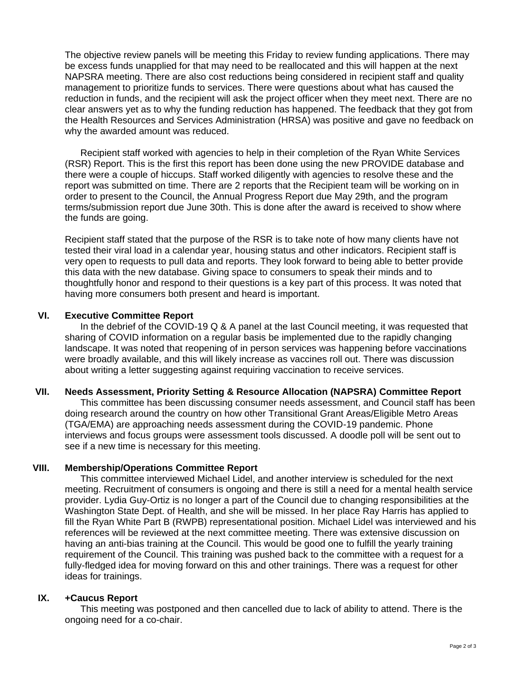The objective review panels will be meeting this Friday to review funding applications. There may be excess funds unapplied for that may need to be reallocated and this will happen at the next NAPSRA meeting. There are also cost reductions being considered in recipient staff and quality management to prioritize funds to services. There were questions about what has caused the reduction in funds, and the recipient will ask the project officer when they meet next. There are no clear answers yet as to why the funding reduction has happened. The feedback that they got from the Health Resources and Services Administration (HRSA) was positive and gave no feedback on why the awarded amount was reduced.

Recipient staff worked with agencies to help in their completion of the Ryan White Services (RSR) Report. This is the first this report has been done using the new PROVIDE database and there were a couple of hiccups. Staff worked diligently with agencies to resolve these and the report was submitted on time. There are 2 reports that the Recipient team will be working on in order to present to the Council, the Annual Progress Report due May 29th, and the program terms/submission report due June 30th. This is done after the award is received to show where the funds are going.

Recipient staff stated that the purpose of the RSR is to take note of how many clients have not tested their viral load in a calendar year, housing status and other indicators. Recipient staff is very open to requests to pull data and reports. They look forward to being able to better provide this data with the new database. Giving space to consumers to speak their minds and to thoughtfully honor and respond to their questions is a key part of this process. It was noted that having more consumers both present and heard is important.

#### **VI. Executive Committee Report**

In the debrief of the COVID-19 Q & A panel at the last Council meeting, it was requested that sharing of COVID information on a regular basis be implemented due to the rapidly changing landscape. It was noted that reopening of in person services was happening before vaccinations were broadly available, and this will likely increase as vaccines roll out. There was discussion about writing a letter suggesting against requiring vaccination to receive services.

## **VII. Needs Assessment, Priority Setting & Resource Allocation (NAPSRA) Committee Report**

This committee has been discussing consumer needs assessment, and Council staff has been doing research around the country on how other Transitional Grant Areas/Eligible Metro Areas (TGA/EMA) are approaching needs assessment during the COVID-19 pandemic. Phone interviews and focus groups were assessment tools discussed. A doodle poll will be sent out to see if a new time is necessary for this meeting.

# **VIII. Membership/Operations Committee Report**

This committee interviewed Michael Lidel, and another interview is scheduled for the next meeting. Recruitment of consumers is ongoing and there is still a need for a mental health service provider. Lydia Guy-Ortiz is no longer a part of the Council due to changing responsibilities at the Washington State Dept. of Health, and she will be missed. In her place Ray Harris has applied to fill the Ryan White Part B (RWPB) representational position. Michael Lidel was interviewed and his references will be reviewed at the next committee meeting. There was extensive discussion on having an anti-bias training at the Council. This would be good one to fulfill the yearly training requirement of the Council. This training was pushed back to the committee with a request for a fully-fledged idea for moving forward on this and other trainings. There was a request for other ideas for trainings.

## **IX. +Caucus Report**

This meeting was postponed and then cancelled due to lack of ability to attend. There is the ongoing need for a co-chair.